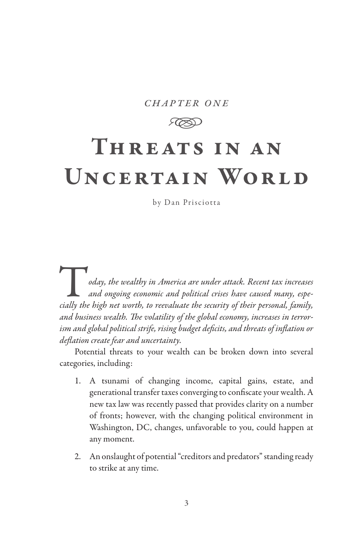#### *chapter one*

**RSD** 

# Threats in an UNCERTAIN WORLD

by Dan Prisciotta

T*oday, the wealthy in America are under attack. Recent tax increases and ongoing economic and political crises have caused many, especially the high net worth, to reevaluate the security of their personal, family, and business wealth. The volatility of the global economy, increases in terrorism and global political strife, rising budget deficits, and threats of inflation or deflation create fear and uncertainty.* 

Potential threats to your wealth can be broken down into several categories, including:

- 1. A tsunami of changing income, capital gains, estate, and generational transfer taxes converging to confiscate your wealth. A new tax law was recently passed that provides clarity on a number of fronts; however, with the changing political environment in Washington, DC, changes, unfavorable to you, could happen at any moment.
- 2. An onslaught of potential "creditors and predators" standing ready to strike at any time.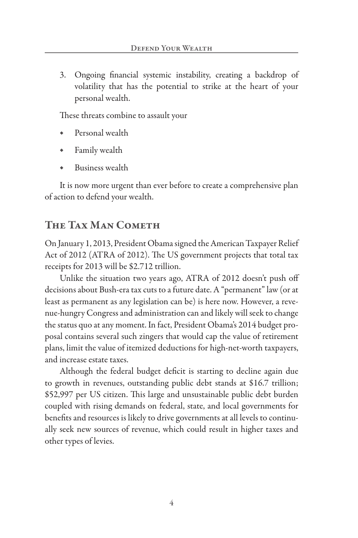3. Ongoing financial systemic instability, creating a backdrop of volatility that has the potential to strike at the heart of your personal wealth.

These threats combine to assault your

- Personal wealth
- Family wealth
- Business wealth

It is now more urgent than ever before to create a comprehensive plan of action to defend your wealth.

## The Tax Man Cometh

On January 1, 2013, President Obama signed the American Taxpayer Relief Act of 2012 (ATRA of 2012). The US government projects that total tax receipts for 2013 will be \$2.712 trillion.

Unlike the situation two years ago, ATRA of 2012 doesn't push off decisions about Bush-era tax cuts to a future date. A "permanent" law (or at least as permanent as any legislation can be) is here now. However, a revenue-hungry Congress and administration can and likely will seek to change the status quo at any moment. In fact, President Obama's 2014 budget proposal contains several such zingers that would cap the value of retirement plans, limit the value of itemized deductions for high-net-worth taxpayers, and increase estate taxes.

Although the federal budget deficit is starting to decline again due to growth in revenues, outstanding public debt stands at \$16.7 trillion; \$52,997 per US citizen. This large and unsustainable public debt burden coupled with rising demands on federal, state, and local governments for benefits and resources is likely to drive governments at all levels to continually seek new sources of revenue, which could result in higher taxes and other types of levies.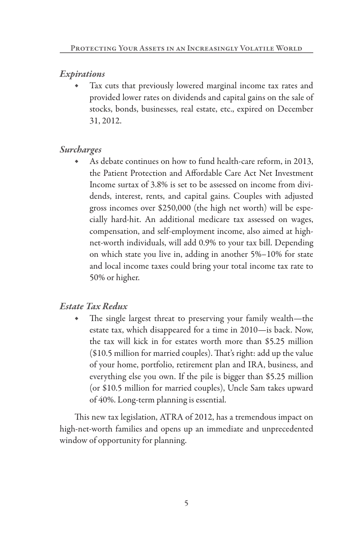## *Expirations*

Tax cuts that previously lowered marginal income tax rates and provided lower rates on dividends and capital gains on the sale of stocks, bonds, businesses, real estate, etc., expired on December 31, 2012.

## *Surcharges*

As debate continues on how to fund health-care reform, in 2013, the Patient Protection and Affordable Care Act Net Investment Income surtax of 3.8% is set to be assessed on income from dividends, interest, rents, and capital gains. Couples with adjusted gross incomes over \$250,000 (the high net worth) will be especially hard-hit. An additional medicare tax assessed on wages, compensation, and self-employment income, also aimed at highnet-worth individuals, will add 0.9% to your tax bill. Depending on which state you live in, adding in another 5%–10% for state and local income taxes could bring your total income tax rate to 50% or higher.

## *Estate Tax Redux*

The single largest threat to preserving your family wealth—the estate tax, which disappeared for a time in 2010—is back. Now, the tax will kick in for estates worth more than \$5.25 million (\$10.5 million for married couples). That's right: add up the value of your home, portfolio, retirement plan and IRA, business, and everything else you own. If the pile is bigger than \$5.25 million (or \$10.5 million for married couples), Uncle Sam takes upward of 40%. Long-term planning is essential.

This new tax legislation, ATRA of 2012, has a tremendous impact on high-net-worth families and opens up an immediate and unprecedented window of opportunity for planning.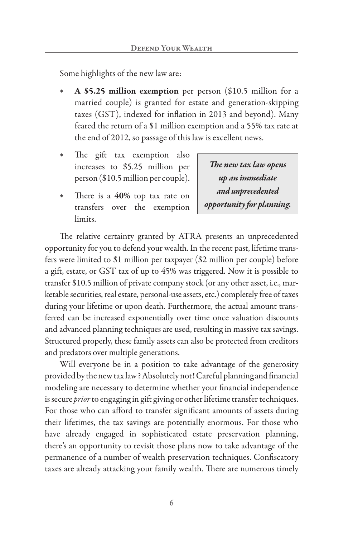Some highlights of the new law are:

- A \$5.25 million exemption per person (\$10.5 million for a married couple) is granted for estate and generation-skipping taxes (GST), indexed for inflation in 2013 and beyond). Many feared the return of a \$1 million exemption and a 55% tax rate at the end of 2012, so passage of this law is excellent news.
- The gift tax exemption also increases to \$5.25 million per person (\$10.5 million per couple).
- There is a 40% top tax rate on transfers over the exemption limits.

*The new tax law opens up an immediate and unprecedented opportunity for planning.*

The relative certainty granted by ATRA presents an unprecedented opportunity for you to defend your wealth. In the recent past, lifetime transfers were limited to \$1 million per taxpayer (\$2 million per couple) before a gift, estate, or GST tax of up to 45% was triggered. Now it is possible to transfer \$10.5 million of private company stock (or any other asset, i.e., marketable securities, real estate, personal-use assets, etc.) completely free of taxes during your lifetime or upon death. Furthermore, the actual amount transferred can be increased exponentially over time once valuation discounts and advanced planning techniques are used, resulting in massive tax savings. Structured properly, these family assets can also be protected from creditors and predators over multiple generations.

Will everyone be in a position to take advantage of the generosity provided by the new tax law? Absolutely not! Careful planning and financial modeling are necessary to determine whether your financial independence is secure *prior* to engaging in gift giving or other lifetime transfer techniques. For those who can afford to transfer significant amounts of assets during their lifetimes, the tax savings are potentially enormous. For those who have already engaged in sophisticated estate preservation planning, there's an opportunity to revisit those plans now to take advantage of the permanence of a number of wealth preservation techniques. Confiscatory taxes are already attacking your family wealth. There are numerous timely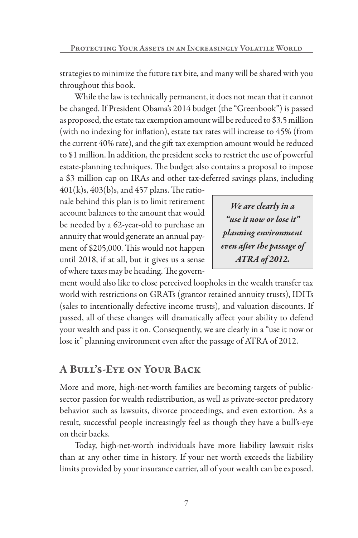strategies to minimize the future tax bite, and many will be shared with you throughout this book.

While the law is technically permanent, it does not mean that it cannot be changed. If President Obama's 2014 budget (the "Greenbook") is passed as proposed, the estate tax exemption amount will be reduced to \$3.5 million (with no indexing for inflation), estate tax rates will increase to 45% (from the current 40% rate), and the gift tax exemption amount would be reduced to \$1 million. In addition, the president seeks to restrict the use of powerful estate-planning techniques. The budget also contains a proposal to impose a \$3 million cap on IRAs and other tax-deferred savings plans, including

 $401(k)s, 403(b)s, and 457 plans.$  The rationale behind this plan is to limit retirement account balances to the amount that would be needed by a 62-year-old to purchase an annuity that would generate an annual payment of \$205,000. This would not happen until 2018, if at all, but it gives us a sense of where taxes may be heading. The govern-

*We are clearly in a "use it now or lose it" planning environment even after the passage of ATRA of 2012.*

ment would also like to close perceived loopholes in the wealth transfer tax world with restrictions on GRATs (grantor retained annuity trusts), IDITs (sales to intentionally defective income trusts), and valuation discounts. If passed, all of these changes will dramatically affect your ability to defend your wealth and pass it on. Consequently, we are clearly in a "use it now or lose it" planning environment even after the passage of ATRA of 2012.

# A Bull's-Eye on Your Back

More and more, high-net-worth families are becoming targets of publicsector passion for wealth redistribution, as well as private-sector predatory behavior such as lawsuits, divorce proceedings, and even extortion. As a result, successful people increasingly feel as though they have a bull's-eye on their backs.

Today, high-net-worth individuals have more liability lawsuit risks than at any other time in history. If your net worth exceeds the liability limits provided by your insurance carrier, all of your wealth can be exposed.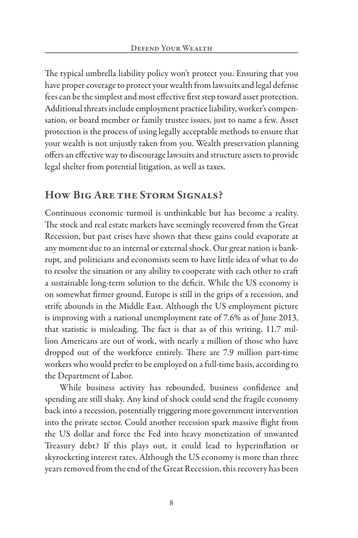The typical umbrella liability policy won't protect you. Ensuring that you have proper coverage to protect your wealth from lawsuits and legal defense fees can be the simplest and most effective first step toward asset protection. Additional threats include employment practice liability, worker's compensation, or board member or family trustee issues, just to name a few. Asset protection is the process of using legally acceptable methods to ensure that your wealth is not unjustly taken from you. Wealth preservation planning offers an effective way to discourage lawsuits and structure assets to provide legal shelter from potential litigation, as well as taxes.

# How Big Are the Storm Signals?

Continuous economic turmoil is unthinkable but has become a reality. The stock and real estate markets have seemingly recovered from the Great Recession, but past crises have shown that these gains could evaporate at any moment due to an internal or external shock. Our great nation is bankrupt, and politicians and economists seem to have little idea of what to do to resolve the situation or any ability to cooperate with each other to craft a sustainable long-term solution to the deficit. While the US economy is on somewhat firmer ground, Europe is still in the grips of a recession, and strife abounds in the Middle East. Although the US employment picture is improving with a national unemployment rate of 7.6% as of June 2013, that statistic is misleading. The fact is that as of this writing, 11.7 million Americans are out of work, with nearly a million of those who have dropped out of the workforce entirely. There are 7.9 million part-time workers who would prefer to be employed on a full-time basis, according to the Department of Labor.

While business activity has rebounded, business confidence and spending are still shaky. Any kind of shock could send the fragile economy back into a recession, potentially triggering more government intervention into the private sector. Could another recession spark massive flight from the US dollar and force the Fed into heavy monetization of unwanted Treasury debt? If this plays out, it could lead to hyperinflation or skyrocketing interest rates. Although the US economy is more than three years removed from the end of the Great Recession, this recovery has been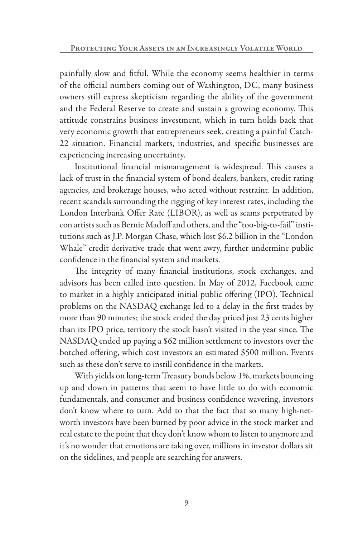painfully slow and fitful. While the economy seems healthier in terms of the official numbers coming out of Washington, DC, many business owners still express skepticism regarding the ability of the government and the Federal Reserve to create and sustain a growing economy. This attitude constrains business investment, which in turn holds back that very economic growth that entrepreneurs seek, creating a painful Catch-22 situation. Financial markets, industries, and specific businesses are experiencing increasing uncertainty.

Institutional financial mismanagement is widespread. This causes a lack of trust in the financial system of bond dealers, bankers, credit rating agencies, and brokerage houses, who acted without restraint. In addition, recent scandals surrounding the rigging of key interest rates, including the London Interbank Offer Rate (LIBOR), as well as scams perpetrated by con artists such as Bernie Madoff and others, and the "too-big-to-fail" institutions such as J.P. Morgan Chase, which lost \$6.2 billion in the "London Whale" credit derivative trade that went awry, further undermine public confidence in the financial system and markets.

The integrity of many financial institutions, stock exchanges, and advisors has been called into question. In May of 2012, Facebook came to market in a highly anticipated initial public offering (IPO). Technical problems on the NASDAQ exchange led to a delay in the first trades by more than 90 minutes; the stock ended the day priced just 23 cents higher than its IPO price, territory the stock hasn't visited in the year since. The NASDAQ ended up paying a \$62 million settlement to investors over the botched offering, which cost investors an estimated \$500 million. Events such as these don't serve to instill confidence in the markets.

With yields on long-term Treasury bonds below 1%, markets bouncing up and down in patterns that seem to have little to do with economic fundamentals, and consumer and business confidence wavering, investors don't know where to turn. Add to that the fact that so many high-networth investors have been burned by poor advice in the stock market and real estate to the point that they don't know whom to listen to anymore and it's no wonder that emotions are taking over, millions in investor dollars sit on the sidelines, and people are searching for answers.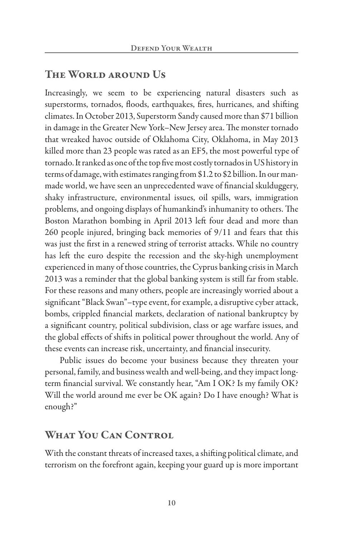## The World around Us

Increasingly, we seem to be experiencing natural disasters such as superstorms, tornados, floods, earthquakes, fires, hurricanes, and shifting climates. In October 2013, Superstorm Sandy caused more than \$71 billion in damage in the Greater New York–New Jersey area. The monster tornado that wreaked havoc outside of Oklahoma City, Oklahoma, in May 2013 killed more than 23 people was rated as an EF5, the most powerful type of tornado. It ranked as one of the top five most costly tornados in US history in terms of damage, with estimates ranging from \$1.2 to \$2 billion. In our manmade world, we have seen an unprecedented wave of financial skulduggery, shaky infrastructure, environmental issues, oil spills, wars, immigration problems, and ongoing displays of humankind's inhumanity to others. The Boston Marathon bombing in April 2013 left four dead and more than 260 people injured, bringing back memories of 9/11 and fears that this was just the first in a renewed string of terrorist attacks. While no country has left the euro despite the recession and the sky-high unemployment experienced in many of those countries, the Cyprus banking crisis in March 2013 was a reminder that the global banking system is still far from stable. For these reasons and many others, people are increasingly worried about a significant "Black Swan"–type event, for example, a disruptive cyber attack, bombs, crippled financial markets, declaration of national bankruptcy by a significant country, political subdivision, class or age warfare issues, and the global effects of shifts in political power throughout the world. Any of these events can increase risk, uncertainty, and financial insecurity.

Public issues do become your business because they threaten your personal, family, and business wealth and well-being, and they impact longterm financial survival. We constantly hear, "Am I OK? Is my family OK? Will the world around me ever be OK again? Do I have enough? What is enough?"

## WHAT YOU CAN CONTROL

With the constant threats of increased taxes, a shifting political climate, and terrorism on the forefront again, keeping your guard up is more important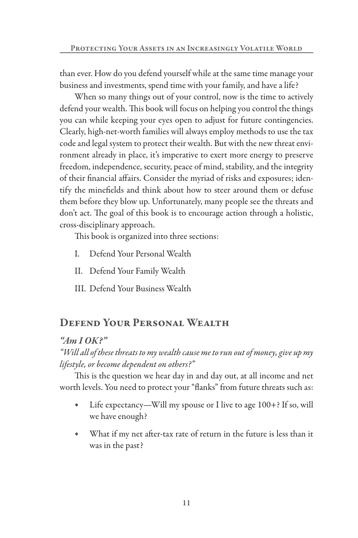than ever. How do you defend yourself while at the same time manage your business and investments, spend time with your family, and have a life?

When so many things out of your control, now is the time to actively defend your wealth. This book will focus on helping you control the things you can while keeping your eyes open to adjust for future contingencies. Clearly, high-net-worth families will always employ methods to use the tax code and legal system to protect their wealth. But with the new threat environment already in place, it's imperative to exert more energy to preserve freedom, independence, security, peace of mind, stability, and the integrity of their financial affairs. Consider the myriad of risks and exposures; identify the minefields and think about how to steer around them or defuse them before they blow up. Unfortunately, many people see the threats and don't act. The goal of this book is to encourage action through a holistic, cross-disciplinary approach.

This book is organized into three sections:

- I. Defend Your Personal Wealth
- II. Defend Your Family Wealth
- III. Defend Your Business Wealth

# Defend Your Personal Wealth

## *"Am I OK?"*

*"Will all of these threats to my wealth cause me to run out of money, give up my lifestyle, or become dependent on others?"*

This is the question we hear day in and day out, at all income and net worth levels. You need to protect your "flanks" from future threats such as:

- ◆ Life expectancy—Will my spouse or I live to age 100+? If so, will we have enough?
- ◆ What if my net after-tax rate of return in the future is less than it was in the past?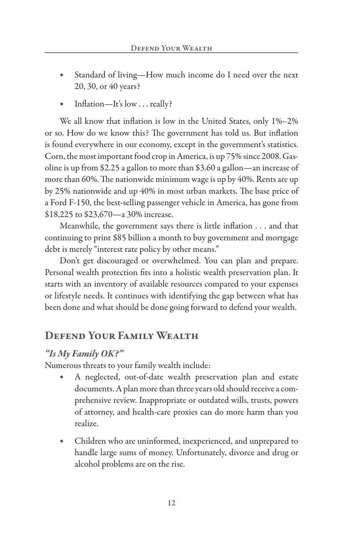- Standard of living—How much income do I need over the next 20, 30, or 40 years?
- Inflation—It's low  $\dots$  really?

We all know that inflation is low in the United States, only 1%–2% or so. How do we know this? The government has told us. But inflation is found everywhere in our economy, except in the government's statistics. Corn, the most important food crop in America, is up 75% since 2008. Gasoline is up from \$2.25 a gallon to more than \$3.60 a gallon—an increase of more than 60%. The nationwide minimum wage is up by 40%. Rents are up by 25% nationwide and up 40% in most urban markets. The base price of a Ford F-150, the best-selling passenger vehicle in America, has gone from \$18,225 to \$23,670—a 30% increase.

Meanwhile, the government says there is little inflation . . . and that continuing to print \$85 billion a month to buy government and mortgage debt is merely "interest rate policy by other means."

Don't get discouraged or overwhelmed. You can plan and prepare. Personal wealth protection fits into a holistic wealth preservation plan. It starts with an inventory of available resources compared to your expenses or lifestyle needs. It continues with identifying the gap between what has been done and what should be done going forward to defend your wealth.

# Defend Your Family Wealth

## *"Is My Family OK?"*

Numerous threats to your family wealth include:

- ◆ A neglected, out-of-date wealth preservation plan and estate documents. A plan more than three years old should receive a comprehensive review. Inappropriate or outdated wills, trusts, powers of attorney, and health-care proxies can do more harm than you realize.
- Children who are uninformed, inexperienced, and unprepared to handle large sums of money. Unfortunately, divorce and drug or alcohol problems are on the rise.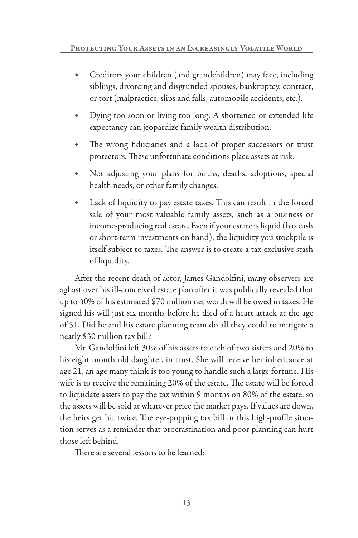- Creditors your children (and grandchildren) may face, including siblings, divorcing and disgruntled spouses, bankruptcy, contract, or tort (malpractice, slips and falls, automobile accidents, etc.).
- Dying too soon or living too long. A shortened or extended life expectancy can jeopardize family wealth distribution.
- The wrong fiduciaries and a lack of proper successors or trust protectors. These unfortunate conditions place assets at risk.
- Not adjusting your plans for births, deaths, adoptions, special health needs, or other family changes.
- Lack of liquidity to pay estate taxes. This can result in the forced sale of your most valuable family assets, such as a business or income-producing real estate. Even if your estate is liquid (has cash or short-term investments on hand), the liquidity you stockpile is itself subject to taxes. The answer is to create a tax-exclusive stash of liquidity.

After the recent death of actor, James Gandolfini, many observers are aghast over his ill-conceived estate plan after it was publically revealed that up to 40% of his estimated \$70 million net worth will be owed in taxes. He signed his will just six months before he died of a heart attack at the age of 51. Did he and his estate planning team do all they could to mitigate a nearly \$30 million tax bill?

Mr. Gandolfini left 30% of his assets to each of two sisters and 20% to his eight month old daughter, in trust. She will receive her inheritance at age 21, an age many think is too young to handle such a large fortune. His wife is to receive the remaining 20% of the estate. The estate will be forced to liquidate assets to pay the tax within 9 months on 80% of the estate, so the assets will be sold at whatever price the market pays. If values are down, the heirs get hit twice. The eye-popping tax bill in this high-profile situation serves as a reminder that procrastination and poor planning can hurt those left behind.

There are several lessons to be learned: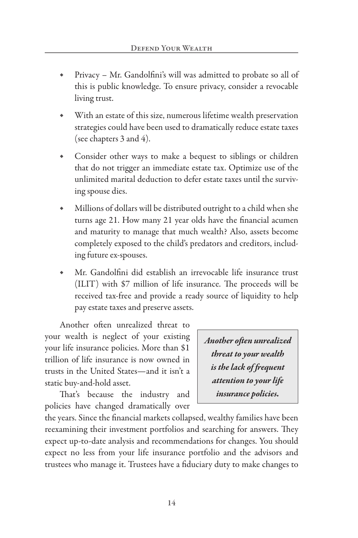- Privacy Mr. Gandolfini's will was admitted to probate so all of this is public knowledge. To ensure privacy, consider a revocable living trust.
- With an estate of this size, numerous lifetime wealth preservation strategies could have been used to dramatically reduce estate taxes (see chapters 3 and 4).
- Consider other ways to make a bequest to siblings or children that do not trigger an immediate estate tax. Optimize use of the unlimited marital deduction to defer estate taxes until the surviving spouse dies.
- Millions of dollars will be distributed outright to a child when she turns age 21. How many 21 year olds have the financial acumen and maturity to manage that much wealth? Also, assets become completely exposed to the child's predators and creditors, including future ex-spouses.
- Mr. Gandolfini did establish an irrevocable life insurance trust (ILIT) with \$7 million of life insurance. The proceeds will be received tax-free and provide a ready source of liquidity to help pay estate taxes and preserve assets.

Another often unrealized threat to your wealth is neglect of your existing your life insurance policies. More than \$1 trillion of life insurance is now owned in trusts in the United States—and it isn't a static buy-and-hold asset.

That's because the industry and policies have changed dramatically over

*Another often unrealized threat to your wealth is the lack of frequent attention to your life insurance policies.*

the years. Since the financial markets collapsed, wealthy families have been reexamining their investment portfolios and searching for answers. They expect up-to-date analysis and recommendations for changes. You should expect no less from your life insurance portfolio and the advisors and trustees who manage it. Trustees have a fiduciary duty to make changes to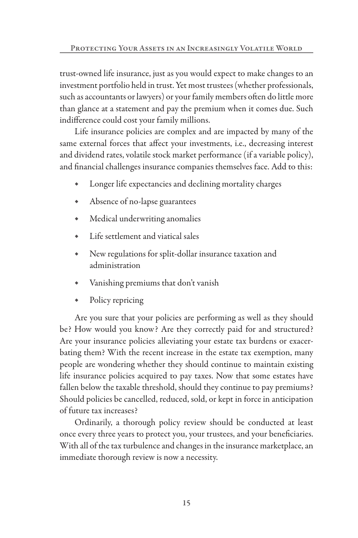trust-owned life insurance, just as you would expect to make changes to an investment portfolio held in trust. Yet most trustees (whether professionals, such as accountants or lawyers) or your family members often do little more than glance at a statement and pay the premium when it comes due. Such indifference could cost your family millions.

Life insurance policies are complex and are impacted by many of the same external forces that affect your investments, i.e., decreasing interest and dividend rates, volatile stock market performance (if a variable policy), and financial challenges insurance companies themselves face. Add to this:

- Longer life expectancies and declining mortality charges
- ◆ Absence of no-lapse guarantees
- ◆ Medical underwriting anomalies
- Life settlement and viatical sales
- New regulations for split-dollar insurance taxation and administration
- Vanishing premiums that don't vanish
- ◆ Policy repricing

Are you sure that your policies are performing as well as they should be? How would you know? Are they correctly paid for and structured? Are your insurance policies alleviating your estate tax burdens or exacerbating them? With the recent increase in the estate tax exemption, many people are wondering whether they should continue to maintain existing life insurance policies acquired to pay taxes. Now that some estates have fallen below the taxable threshold, should they continue to pay premiums? Should policies be cancelled, reduced, sold, or kept in force in anticipation of future tax increases?

Ordinarily, a thorough policy review should be conducted at least once every three years to protect you, your trustees, and your beneficiaries. With all of the tax turbulence and changes in the insurance marketplace, an immediate thorough review is now a necessity.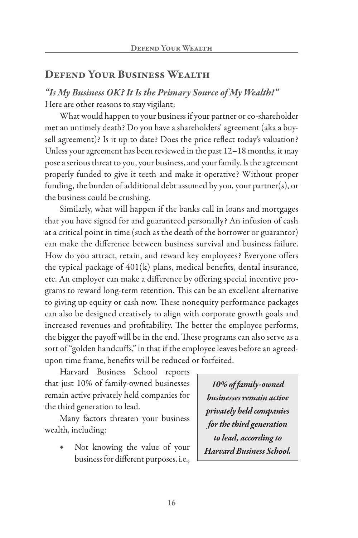## Defend Your Business Wealth

*"Is My Business OK? It Is the Primary Source of My Wealth!"* Here are other reasons to stay vigilant:

What would happen to your business if your partner or co-shareholder met an untimely death? Do you have a shareholders' agreement (aka a buysell agreement)? Is it up to date? Does the price reflect today's valuation? Unless your agreement has been reviewed in the past 12–18 months, it may pose a serious threat to you, your business, and your family. Is the agreement properly funded to give it teeth and make it operative? Without proper funding, the burden of additional debt assumed by you, your partner(s), or the business could be crushing.

Similarly, what will happen if the banks call in loans and mortgages that you have signed for and guaranteed personally? An infusion of cash at a critical point in time (such as the death of the borrower or guarantor) can make the difference between business survival and business failure. How do you attract, retain, and reward key employees? Everyone offers the typical package of 401(k) plans, medical benefits, dental insurance, etc. An employer can make a difference by offering special incentive programs to reward long-term retention. This can be an excellent alternative to giving up equity or cash now. These nonequity performance packages can also be designed creatively to align with corporate growth goals and increased revenues and profitability. The better the employee performs, the bigger the payoff will be in the end. These programs can also serve as a sort of "golden handcuffs," in that if the employee leaves before an agreedupon time frame, benefits will be reduced or forfeited.

Harvard Business School reports that just 10% of family-owned businesses remain active privately held companies for the third generation to lead.

Many factors threaten your business wealth, including:

> ◆ Not knowing the value of your business for different purposes, i.e.,

*10% of family-owned businesses remain active privately held companies for the third generation to lead, according to Harvard Business School.*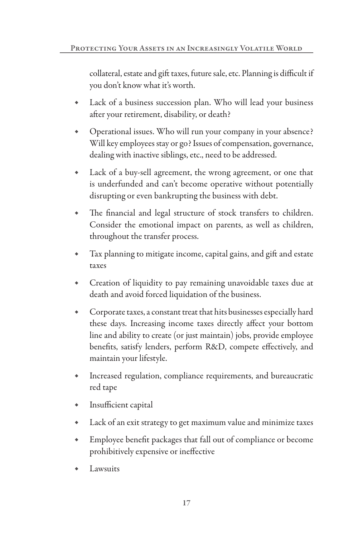collateral, estate and gift taxes, future sale, etc. Planning is difficult if you don't know what it's worth.

- ◆ Lack of a business succession plan. Who will lead your business after your retirement, disability, or death?
- ◆ Operational issues. Who will run your company in your absence? Will key employees stay or go? Issues of compensation, governance, dealing with inactive siblings, etc., need to be addressed.
- ◆ Lack of a buy-sell agreement, the wrong agreement, or one that is underfunded and can't become operative without potentially disrupting or even bankrupting the business with debt.
- ◆ The financial and legal structure of stock transfers to children. Consider the emotional impact on parents, as well as children, throughout the transfer process.
- ◆ Tax planning to mitigate income, capital gains, and gift and estate taxes
- Creation of liquidity to pay remaining unavoidable taxes due at death and avoid forced liquidation of the business.
- ◆ Corporate taxes, a constant treat that hits businesses especially hard these days. Increasing income taxes directly affect your bottom line and ability to create (or just maintain) jobs, provide employee benefits, satisfy lenders, perform R&D, compete effectively, and maintain your lifestyle.
- ◆ Increased regulation, compliance requirements, and bureaucratic red tape
- ◆ Insufficient capital
- ◆ Lack of an exit strategy to get maximum value and minimize taxes
- Employee benefit packages that fall out of compliance or become prohibitively expensive or ineffective
- Lawsuits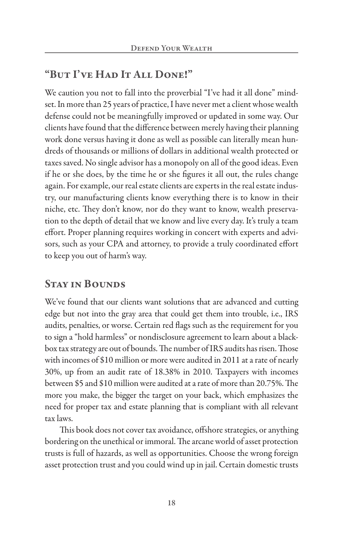# "But I've Had It All Done!"

We caution you not to fall into the proverbial "I've had it all done" mindset. In more than 25 years of practice, I have never met a client whose wealth defense could not be meaningfully improved or updated in some way. Our clients have found that the difference between merely having their planning work done versus having it done as well as possible can literally mean hundreds of thousands or millions of dollars in additional wealth protected or taxes saved. No single advisor has a monopoly on all of the good ideas. Even if he or she does, by the time he or she figures it all out, the rules change again. For example, our real estate clients are experts in the real estate industry, our manufacturing clients know everything there is to know in their niche, etc. They don't know, nor do they want to know, wealth preservation to the depth of detail that we know and live every day. It's truly a team effort. Proper planning requires working in concert with experts and advisors, such as your CPA and attorney, to provide a truly coordinated effort to keep you out of harm's way.

## Stay in Bounds

We've found that our clients want solutions that are advanced and cutting edge but not into the gray area that could get them into trouble, i.e., IRS audits, penalties, or worse. Certain red flags such as the requirement for you to sign a "hold harmless" or nondisclosure agreement to learn about a blackbox tax strategy are out of bounds. The number of IRS audits has risen. Those with incomes of \$10 million or more were audited in 2011 at a rate of nearly 30%, up from an audit rate of 18.38% in 2010. Taxpayers with incomes between \$5 and \$10 million were audited at a rate of more than 20.75%. The more you make, the bigger the target on your back, which emphasizes the need for proper tax and estate planning that is compliant with all relevant tax laws.

This book does not cover tax avoidance, offshore strategies, or anything bordering on the unethical or immoral. The arcane world of asset protection trusts is full of hazards, as well as opportunities. Choose the wrong foreign asset protection trust and you could wind up in jail. Certain domestic trusts